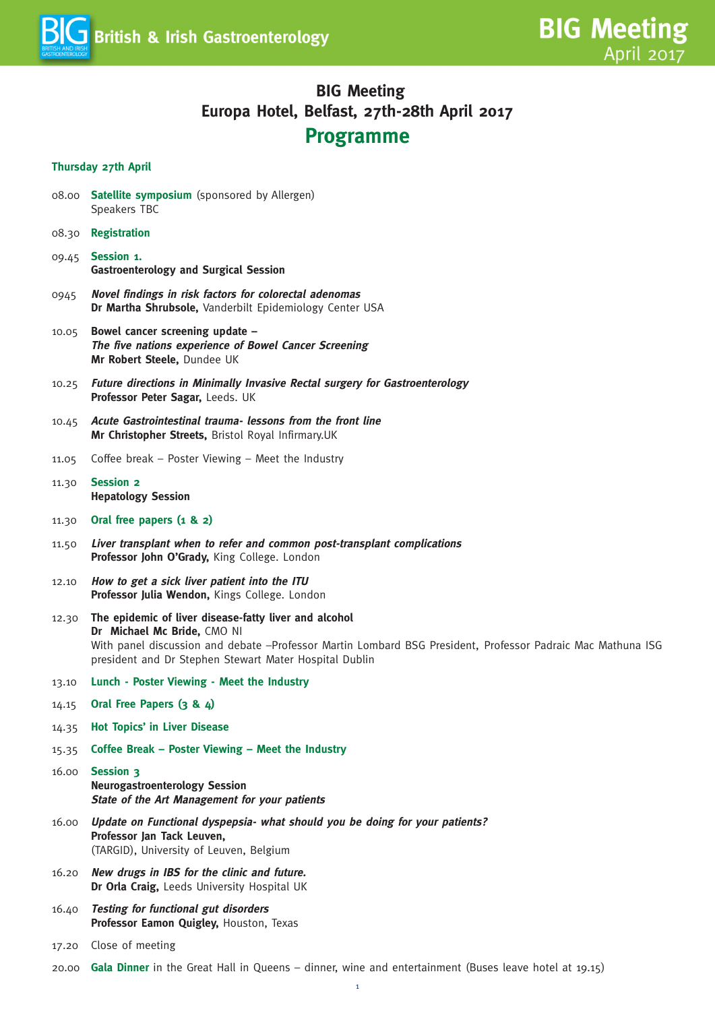

### **BIG Meeting Europa Hotel, Belfast, 27th-28th April 2017 Programme**

#### **Thursday 27th April**

- 08.00 **Satellite symposium** (sponsored by Allergen) Speakers TBC
- 08.30 **Registration**
- 09.45 **Session 1. Gastroenterology and Surgical Session**
- 0945 **Novel findings in risk factors for colorectal adenomas Dr Martha Shrubsole,** Vanderbilt Epidemiology Center USA
- 10.05 **Bowel cancer screening update – The five nations experience of Bowel Cancer Screening Mr Robert Steele,** Dundee UK
- 10.25 **Future directions in Minimally Invasive Rectal surgery for Gastroenterology Professor Peter Sagar,** Leeds. UK
- 10.45 **Acute Gastrointestinal trauma- lessons from the front line Mr Christopher Streets,** Bristol Royal Infirmary.UK
- 11.05 Coffee break Poster Viewing Meet the Industry
- 11.30 **Session 2 Hepatology Session**
- 11.30 **Oral free papers (1 & 2)**
- 11.50 **Liver transplant when to refer and common post-transplant complications Professor John O'Grady,** King College. London
- 12.10 **How to get <sup>a</sup> sick liver patient into the ITU Professor Julia Wendon,** Kings College. London
- 12.30 **The epidemic of liver disease-fatty liver and alcohol Dr Michael Mc Bride,** CMO NI With panel discussion and debate –Professor Martin Lombard BSG President, Professor Padraic Mac Mathuna ISG president and Dr Stephen Stewart Mater Hospital Dublin
- 13.10 **Lunch - Poster Viewing - Meet the Industry**
- 14.15 **Oral Free Papers (3 & 4)**
- 14.35 **Hot Topics' in Liver Disease**
- 15.35 **Coffee Break – Poster Viewing – Meet the Industry**
- 16.00 **Session 3 Neurogastroenterology Session State of the Art Management for your patients**
- 16.00 **Update on Functional dyspepsia- what should you be doing for your patients? Professor Jan Tack Leuven,** (TARGID), University of Leuven, Belgium
- 16.20 **New drugs in IBS for the clinic and future. Dr Orla Craig,** Leeds University Hospital UK
- 16.40 **Testing for functional gut disorders Professor Eamon Quigley,** Houston, Texas
- 17.20 Close of meeting
- 20.00 **Gala Dinner** in the Great Hall in Queens dinner, wine and entertainment (Buses leave hotel at 19.15)